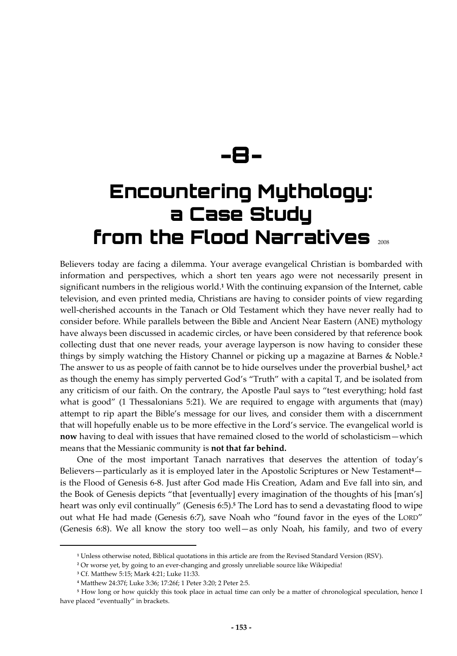**-8-** 

# **Encountering Mythology: a Case Study from the Flood Narratives** 2008

Believers today are facing a dilemma. Your average evangelical Christian is bombarded with information and perspectives, which a short ten years ago were not necessarily present in significant numbers in the religious world.**<sup>1</sup>** With the continuing expansion of the Internet, cable television, and even printed media, Christians are having to consider points of view regarding well-cherished accounts in the Tanach or Old Testament which they have never really had to consider before. While parallels between the Bible and Ancient Near Eastern (ANE) mythology have always been discussed in academic circles, or have been considered by that reference book collecting dust that one never reads, your average layperson is now having to consider these things by simply watching the History Channel or picking up a magazine at Barnes & Noble.**<sup>2</sup>** The answer to us as people of faith cannot be to hide ourselves under the proverbial bushel,**<sup>3</sup>** act as though the enemy has simply perverted God's "Truth" with a capital T, and be isolated from any criticism of our faith. On the contrary, the Apostle Paul says to "test everything; hold fast what is good" (1 Thessalonians 5:21). We are required to engage with arguments that (may) attempt to rip apart the Bible's message for our lives, and consider them with a discernment that will hopefully enable us to be more effective in the Lord's service. The evangelical world is **now** having to deal with issues that have remained closed to the world of scholasticism—which means that the Messianic community is **not that far behind.**

One of the most important Tanach narratives that deserves the attention of today's Believers—particularly as it is employed later in the Apostolic Scriptures or New Testament**<sup>4</sup>** is the Flood of Genesis 6-8. Just after God made His Creation, Adam and Eve fall into sin, and the Book of Genesis depicts "that [eventually] every imagination of the thoughts of his [man's] heart was only evil continually" (Genesis 6:5).**<sup>5</sup>** The Lord has to send a devastating flood to wipe out what He had made (Genesis 6:7), save Noah who "found favor in the eyes of the LORD" (Genesis 6:8). We all know the story too well—as only Noah, his family, and two of every

**<sup>1</sup>** Unless otherwise noted, Biblical quotations in this article are from the Revised Standard Version (RSV).

**<sup>2</sup>** Or worse yet, by going to an ever-changing and grossly unreliable source like Wikipedia!

**<sup>3</sup>** Cf. Matthew 5:15; Mark 4:21; Luke 11:33.

**<sup>4</sup>** Matthew 24:37f; Luke 3:36; 17:26f; 1 Peter 3:20; 2 Peter 2:5.

**<sup>5</sup>** How long or how quickly this took place in actual time can only be a matter of chronological speculation, hence I have placed "eventually" in brackets.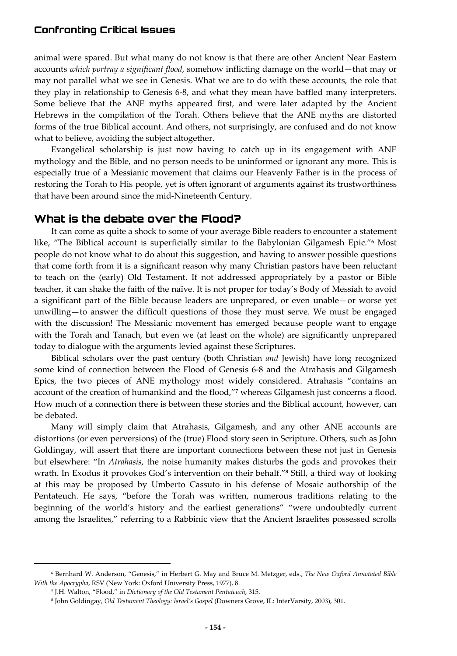animal were spared. But what many do not know is that there are other Ancient Near Eastern accounts *which portray a significant flood*, somehow inflicting damage on the world—that may or may not parallel what we see in Genesis. What we are to do with these accounts, the role that they play in relationship to Genesis 6-8, and what they mean have baffled many interpreters. Some believe that the ANE myths appeared first, and were later adapted by the Ancient Hebrews in the compilation of the Torah. Others believe that the ANE myths are distorted forms of the true Biblical account. And others, not surprisingly, are confused and do not know what to believe, avoiding the subject altogether.

Evangelical scholarship is just now having to catch up in its engagement with ANE mythology and the Bible, and no person needs to be uninformed or ignorant any more. This is especially true of a Messianic movement that claims our Heavenly Father is in the process of restoring the Torah to His people, yet is often ignorant of arguments against its trustworthiness that have been around since the mid-Nineteenth Century.

#### **What is the debate over the Flood?**

It can come as quite a shock to some of your average Bible readers to encounter a statement like, "The Biblical account is superficially similar to the Babylonian Gilgamesh Epic."**<sup>6</sup>** Most people do not know what to do about this suggestion, and having to answer possible questions that come forth from it is a significant reason why many Christian pastors have been reluctant to teach on the (early) Old Testament. If not addressed appropriately by a pastor or Bible teacher, it can shake the faith of the naïve. It is not proper for today's Body of Messiah to avoid a significant part of the Bible because leaders are unprepared, or even unable—or worse yet unwilling—to answer the difficult questions of those they must serve. We must be engaged with the discussion! The Messianic movement has emerged because people want to engage with the Torah and Tanach, but even we (at least on the whole) are significantly unprepared today to dialogue with the arguments levied against these Scriptures.

Biblical scholars over the past century (both Christian *and* Jewish) have long recognized some kind of connection between the Flood of Genesis 6-8 and the Atrahasis and Gilgamesh Epics, the two pieces of ANE mythology most widely considered. Atrahasis "contains an account of the creation of humankind and the flood,"<sup>7</sup> whereas Gilgamesh just concerns a flood. How much of a connection there is between these stories and the Biblical account, however, can be debated.

Many will simply claim that Atrahasis, Gilgamesh, and any other ANE accounts are distortions (or even perversions) of the (true) Flood story seen in Scripture. Others, such as John Goldingay, will assert that there are important connections between these not just in Genesis but elsewhere: "In *Atrahasis*, the noise humanity makes disturbs the gods and provokes their wrath. In Exodus it provokes God's intervention on their behalf."**<sup>8</sup>** Still, a third way of looking at this may be proposed by Umberto Cassuto in his defense of Mosaic authorship of the Pentateuch. He says, "before the Torah was written, numerous traditions relating to the beginning of the world's history and the earliest generations" "were undoubtedly current among the Israelites," referring to a Rabbinic view that the Ancient Israelites possessed scrolls

**<sup>6</sup>** Bernhard W. Anderson, "Genesis," in Herbert G. May and Bruce M. Metzger, eds., *The New Oxford Annotated Bible With the Apocrypha*, RSV (New York: Oxford University Press, 1977), 8.

**<sup>7</sup>** J.H. Walton, "Flood," in *Dictionary of the Old Testament Pentateuch*, 315.

**<sup>8</sup>** John Goldingay, *Old Testament Theology: Israel's Gospel* (Downers Grove, IL: InterVarsity, 2003), 301.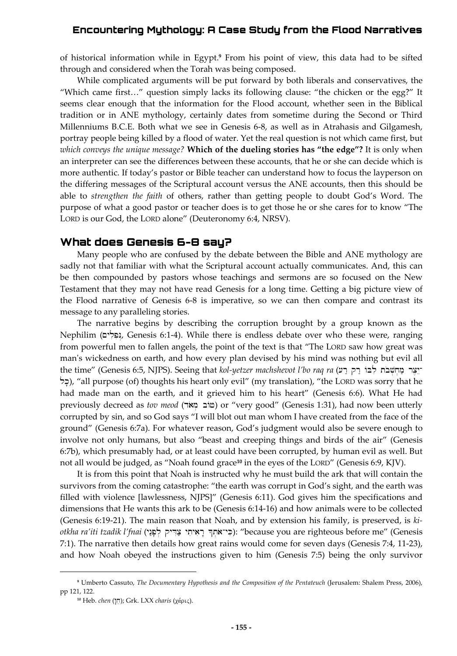of historical information while in Egypt.**<sup>9</sup>** From his point of view, this data had to be sifted through and considered when the Torah was being composed.

While complicated arguments will be put forward by both liberals and conservatives, the "Which came first…" question simply lacks its following clause: "the chicken or the egg?" It seems clear enough that the information for the Flood account, whether seen in the Biblical tradition or in ANE mythology, certainly dates from sometime during the Second or Third Millenniums B.C.E. Both what we see in Genesis 6-8, as well as in Atrahasis and Gilgamesh, portray people being killed by a flood of water. Yet the real question is not which came first, but *which conveys the unique message?* **Which of the dueling stories has "the edge"?** It is only when an interpreter can see the differences between these accounts, that he or she can decide which is more authentic. If today's pastor or Bible teacher can understand how to focus the layperson on the differing messages of the Scriptural account versus the ANE accounts, then this should be able to *strengthen the faith* of others, rather than getting people to doubt God's Word. The purpose of what a good pastor or teacher does is to get those he or she cares for to know "The LORD is our God, the LORD alone" (Deuteronomy 6:4, NRSV).

#### **What does Genesis 6-8 say?**

Many people who are confused by the debate between the Bible and ANE mythology are sadly not that familiar with what the Scriptural account actually communicates. And, this can be then compounded by pastors whose teachings and sermons are so focused on the New Testament that they may not have read Genesis for a long time. Getting a big picture view of the Flood narrative of Genesis 6-8 is imperative, so we can then compare and contrast its message to any paralleling stories.

The narrative begins by describing the corruption brought by a group known as the Nephilim (נִפְלִים, Genesis 6:1-4). While there is endless debate over who these were, ranging from powerful men to fallen angels, the point of the text is that "The LORD saw how great was man's wickedness on earth, and how every plan devised by his mind was nothing but evil all the time" (Genesis 6:5, NJPS). Seeing that *kol-yetzer machshevot l'bo raq ra* ( $\tau$ יצר מחשבת לבו רק רע לָכֶל), "all purpose (of) thoughts his heart only evil" (my translation), "the LORD was sorry that he had made man on the earth, and it grieved him to his heart" (Genesis 6:6). What He had previously decreed as *tov meod* (dic circo (טוֹב מָאֹר) or "very good" (Genesis 1:31), had now been utterly corrupted by sin, and so God says "I will blot out man whom I have created from the face of the ground" (Genesis 6:7a). For whatever reason, God's judgment would also be severe enough to involve not only humans, but also "beast and creeping things and birds of the air" (Genesis 6:7b), which presumably had, or at least could have been corrupted, by human evil as well. But not all would be judged, as "Noah found grace**<sup>10</sup>** in the eyes of the LORD" (Genesis 6:9, KJV).

It is from this point that Noah is instructed why he must build the ark that will contain the survivors from the coming catastrophe: "the earth was corrupt in God's sight, and the earth was filled with violence [lawlessness, NJPS]" (Genesis 6:11). God gives him the specifications and dimensions that He wants this ark to be (Genesis 6:14-16) and how animals were to be collected (Genesis 6:19-21). The main reason that Noah, and by extension his family, is preserved, is *kiotkha ra'iti tzadik l'fnai* (yn:p'l . qyD Ic; ytiyair" ^t.ao-yKi): "because you are righteous before me" (Genesis 7:1). The narrative then details how great rains would come for seven days (Genesis 7:4, 11-23), and how Noah obeyed the instructions given to him (Genesis 7:5) being the only survivor

**<sup>9</sup>** Umberto Cassuto, *The Documentary Hypothesis and the Composition of the Pentateuch* (Jerusalem: Shalem Press, 2006), pp 121, 122.

**<sup>&</sup>lt;sup>10</sup>** Heb. *chen* ("[7]; Grk. LXX *charis* (χάρις).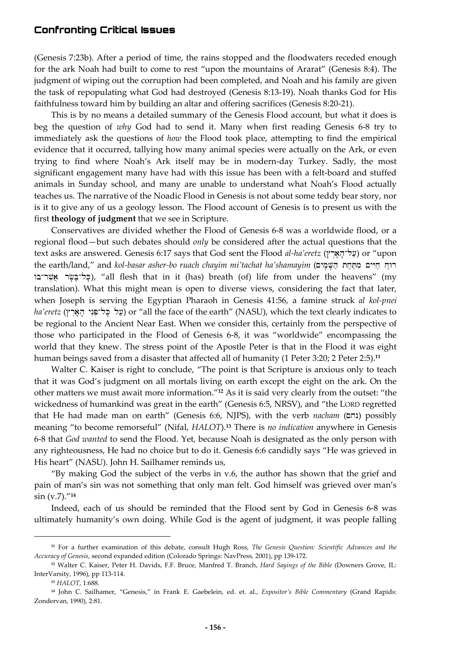(Genesis 7:23b). After a period of time, the rains stopped and the floodwaters receded enough for the ark Noah had built to come to rest "upon the mountains of Ararat" (Genesis 8:4). The judgment of wiping out the corruption had been completed, and Noah and his family are given the task of repopulating what God had destroyed (Genesis 8:13-19). Noah thanks God for His faithfulness toward him by building an altar and offering sacrifices (Genesis 8:20-21).

This is by no means a detailed summary of the Genesis Flood account, but what it does is beg the question of *why* God had to send it. Many when first reading Genesis 6-8 try to immediately ask the questions of *how* the Flood took place, attempting to find the empirical evidence that it occurred, tallying how many animal species were actually on the Ark, or even trying to find where Noah's Ark itself may be in modern-day Turkey. Sadly, the most significant engagement many have had with this issue has been with a felt-board and stuffed animals in Sunday school, and many are unable to understand what Noah's Flood actually teaches us. The narrative of the Noadic Flood in Genesis is not about some teddy bear story, nor is it to give any of us a geology lesson. The Flood account of Genesis is to present us with the first **theology of judgment** that we see in Scripture.

Conservatives are divided whether the Flood of Genesis 6-8 was a worldwide flood, or a regional flood—but such debates should *only* be considered after the actual questions that the text asks are answered. Genesis 6:17 says that God sent the Flood *al-ha'eretz* (עֲל-הָאָרֵץ) or "upon the earth/land," and *kol-basar asher-bo ruach chayim mi'tachat ha'shamayim* (הַיְחָים מַתְּחַת הַשָּׁמַיִם וֹבִל־בִּשֶׂר אֲשֶר־בּוֹ), "all flesh that in it (has) breath (of) life from under the heavens" (my translation). What this might mean is open to diverse views, considering the fact that later, when Joseph is serving the Egyptian Pharaoh in Genesis 41:56, a famine struck *al kol-pnei*   $ha'eretz$  (עַל כְּל־פְּנֵי הָאָרִץ) or "all the face of the earth" (NASU), which the text clearly indicates to be regional to the Ancient Near East. When we consider this, certainly from the perspective of those who participated in the Flood of Genesis 6-8, it was "worldwide" encompassing the world that they knew. The stress point of the Apostle Peter is that in the Flood it was eight human beings saved from a disaster that affected all of humanity (1 Peter 3:20; 2 Peter 2:5).**<sup>11</sup>**

Walter C. Kaiser is right to conclude, "The point is that Scripture is anxious only to teach that it was God's judgment on all mortals living on earth except the eight on the ark. On the other matters we must await more information."**<sup>12</sup>** As it is said very clearly from the outset: "the wickedness of humankind was great in the earth" (Genesis 6:5, NRSV), and "the LORD regretted that He had made man on earth" (Genesis 6:6, NJPS), with the verb *nacham* (נחם) possibly meaning "to become remorseful" (Nifal, *HALOT*).**<sup>13</sup>** There is *no indication* anywhere in Genesis 6-8 that *God wanted* to send the Flood. Yet, because Noah is designated as the only person with any righteousness, He had no choice but to do it. Genesis 6:6 candidly says "He was grieved in His heart" (NASU). John H. Sailhamer reminds us,

"By making God the subject of the verbs in v.6, the author has shown that the grief and pain of man's sin was not something that only man felt. God himself was grieved over man's sin (v.7)."**<sup>14</sup>**

Indeed, each of us should be reminded that the Flood sent by God in Genesis 6-8 was ultimately humanity's own doing. While God is the agent of judgment, it was people falling

**<sup>11</sup>** For a further examination of this debate, consult Hugh Ross, *The Genesis Question: Scientific Advances and the Accuracy of Genesis*, second expanded edition (Colorado Springs: NavPress, 2001), pp 139-172.

**<sup>12</sup>** Walter C. Kaiser, Peter H. Davids, F.F. Bruce, Manfred T. Branch, *Hard Sayings of the Bible* (Downers Grove, IL: InterVarsity, 1996), pp 113-114.

**<sup>13</sup>** *HALOT*, 1:688.

**<sup>14</sup>** John C. Sailhamer, "Genesis," in Frank E. Gaebelein, ed. et. al., *Expositor's Bible Commentary* (Grand Rapids: Zondervan, 1990), 2:81.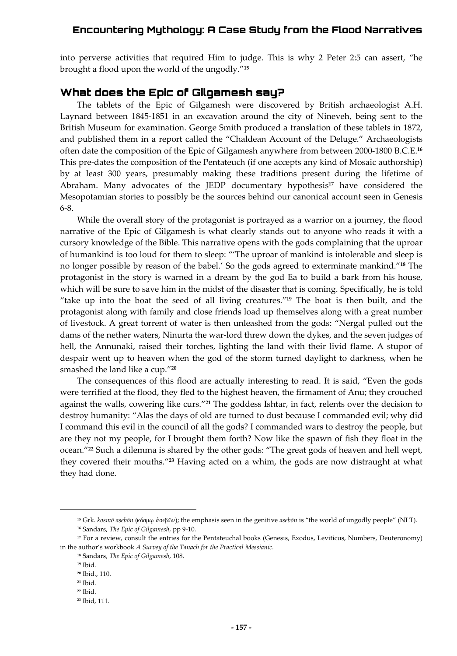into perverse activities that required Him to judge. This is why 2 Peter 2:5 can assert, "he brought a flood upon the world of the ungodly."**<sup>15</sup>**

### **What does the Epic of Gilgamesh say?**

The tablets of the Epic of Gilgamesh were discovered by British archaeologist A.H. Laynard between 1845-1851 in an excavation around the city of Nineveh, being sent to the British Museum for examination. George Smith produced a translation of these tablets in 1872, and published them in a report called the "Chaldean Account of the Deluge." Archaeologists often date the composition of the Epic of Gilgamesh anywhere from between 2000-1800 B.C.E.**<sup>16</sup>** This pre-dates the composition of the Pentateuch (if one accepts any kind of Mosaic authorship) by at least 300 years, presumably making these traditions present during the lifetime of Abraham. Many advocates of the JEDP documentary hypothesis**<sup>17</sup>** have considered the Mesopotamian stories to possibly be the sources behind our canonical account seen in Genesis 6-8.

While the overall story of the protagonist is portrayed as a warrior on a journey, the flood narrative of the Epic of Gilgamesh is what clearly stands out to anyone who reads it with a cursory knowledge of the Bible. This narrative opens with the gods complaining that the uproar of humankind is too loud for them to sleep: "'The uproar of mankind is intolerable and sleep is no longer possible by reason of the babel.' So the gods agreed to exterminate mankind."**<sup>18</sup>** The protagonist in the story is warned in a dream by the god Ea to build a bark from his house, which will be sure to save him in the midst of the disaster that is coming. Specifically, he is told "take up into the boat the seed of all living creatures."**<sup>19</sup>** The boat is then built, and the protagonist along with family and close friends load up themselves along with a great number of livestock. A great torrent of water is then unleashed from the gods: "Nergal pulled out the dams of the nether waters, Ninurta the war-lord threw down the dykes, and the seven judges of hell, the Annunaki, raised their torches, lighting the land with their livid flame. A stupor of despair went up to heaven when the god of the storm turned daylight to darkness, when he smashed the land like a cup."**<sup>20</sup>**

The consequences of this flood are actually interesting to read. It is said, "Even the gods were terrified at the flood, they fled to the highest heaven, the firmament of Anu; they crouched against the walls, cowering like curs."**<sup>21</sup>** The goddess Ishtar, in fact, relents over the decision to destroy humanity: "Alas the days of old are turned to dust because I commanded evil; why did I command this evil in the council of all the gods? I commanded wars to destroy the people, but are they not my people, for I brought them forth? Now like the spawn of fish they float in the ocean."**<sup>22</sup>** Such a dilemma is shared by the other gods: "The great gods of heaven and hell wept, they covered their mouths."**<sup>23</sup>** Having acted on a whim, the gods are now distraught at what they had done.

<sup>&</sup>lt;sup>15</sup> Grk. *kosmō asebōn* (κόσμω ἀσεβῶν); the emphasis seen in the genitive *asebōn* is "the world of ungodly people" (NLT). **<sup>16</sup>** Sandars, *The Epic of Gilgamesh*, pp 9-10.

**<sup>17</sup>** For a review, consult the entries for the Pentateuchal books (Genesis, Exodus, Leviticus, Numbers, Deuteronomy) in the author's workbook *A Survey of the Tanach for the Practical Messianic.*

**<sup>18</sup>** Sandars, *The Epic of Gilgamesh*, 108.

**<sup>19</sup>** Ibid.

**<sup>20</sup>** Ibid., 110.

**<sup>21</sup>** Ibid.

**<sup>22</sup>** Ibid.

**<sup>23</sup>** Ibid, 111.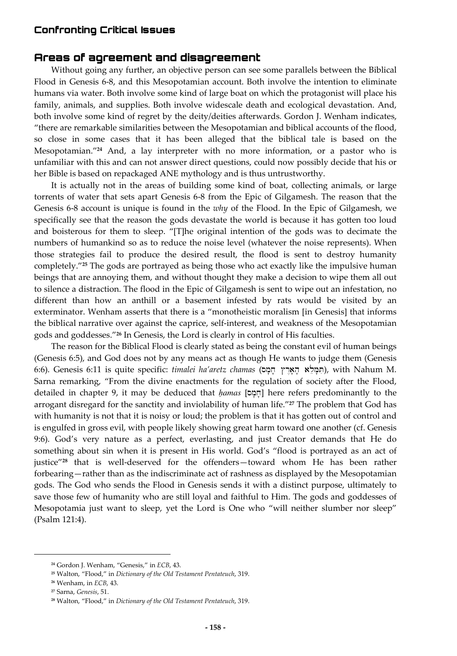### **Areas of agreement and disagreement**

Without going any further, an objective person can see some parallels between the Biblical Flood in Genesis 6-8, and this Mesopotamian account. Both involve the intention to eliminate humans via water. Both involve some kind of large boat on which the protagonist will place his family, animals, and supplies. Both involve widescale death and ecological devastation. And, both involve some kind of regret by the deity/deities afterwards. Gordon J. Wenham indicates, "there are remarkable similarities between the Mesopotamian and biblical accounts of the flood, so close in some cases that it has been alleged that the biblical tale is based on the Mesopotamian."**<sup>24</sup>** And, a lay interpreter with no more information, or a pastor who is unfamiliar with this and can not answer direct questions, could now possibly decide that his or her Bible is based on repackaged ANE mythology and is thus untrustworthy.

It is actually not in the areas of building some kind of boat, collecting animals, or large torrents of water that sets apart Genesis 6-8 from the Epic of Gilgamesh. The reason that the Genesis 6-8 account is unique is found in the *why* of the Flood. In the Epic of Gilgamesh, we specifically see that the reason the gods devastate the world is because it has gotten too loud and boisterous for them to sleep. "[T]he original intention of the gods was to decimate the numbers of humankind so as to reduce the noise level (whatever the noise represents). When those strategies fail to produce the desired result, the flood is sent to destroy humanity completely."**<sup>25</sup>** The gods are portrayed as being those who act exactly like the impulsive human beings that are annoying them, and without thought they make a decision to wipe them all out to silence a distraction. The flood in the Epic of Gilgamesh is sent to wipe out an infestation, no different than how an anthill or a basement infested by rats would be visited by an exterminator. Wenham asserts that there is a "monotheistic moralism [in Genesis] that informs the biblical narrative over against the caprice, self-interest, and weakness of the Mesopotamian gods and goddesses."**<sup>26</sup>** In Genesis, the Lord is clearly in control of His faculties.

The reason for the Biblical Flood is clearly stated as being the constant evil of human beings (Genesis 6:5), and God does not by any means act as though He wants to judge them (Genesis 6:6). Genesis 6:11 is quite specific: *timalei ha'aretz chamas* (הִמַּלֵא הָאָרֶץ חָמָם, with Nahum M. Sarna remarking, "From the divine enactments for the regulation of society after the Flood, detailed in chapter 9, it may be deduced that *ḥamas* [sm'x'] here refers predominantly to the arrogant disregard for the sanctity and inviolability of human life."**<sup>27</sup>** The problem that God has with humanity is not that it is noisy or loud; the problem is that it has gotten out of control and is engulfed in gross evil, with people likely showing great harm toward one another (cf. Genesis 9:6). God's very nature as a perfect, everlasting, and just Creator demands that He do something about sin when it is present in His world. God's "flood is portrayed as an act of justice"**<sup>28</sup>** that is well-deserved for the offenders—toward whom He has been rather forbearing—rather than as the indiscriminate act of rashness as displayed by the Mesopotamian gods. The God who sends the Flood in Genesis sends it with a distinct purpose, ultimately to save those few of humanity who are still loyal and faithful to Him. The gods and goddesses of Mesopotamia just want to sleep, yet the Lord is One who "will neither slumber nor sleep" (Psalm 121:4).

**<sup>24</sup>** Gordon J. Wenham, "Genesis," in *ECB*, 43.

**<sup>25</sup>** Walton, "Flood," in *Dictionary of the Old Testament Pentateuch*, 319.

**<sup>26</sup>** Wenham, in *ECB*, 43.

**<sup>27</sup>** Sarna, *Genesis*, 51.

**<sup>28</sup>** Walton, "Flood," in *Dictionary of the Old Testament Pentateuch*, 319.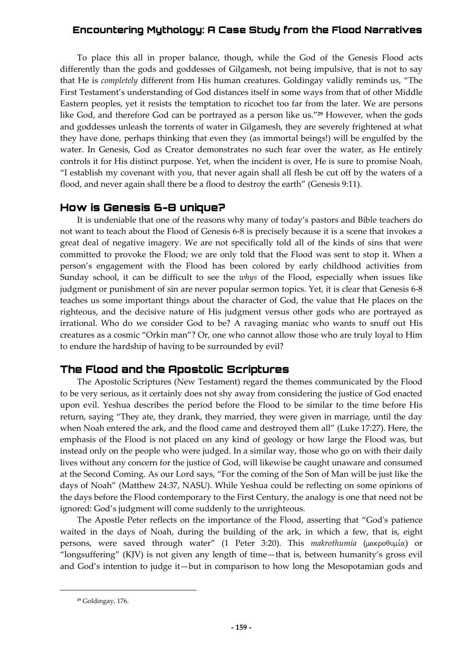To place this all in proper balance, though, while the God of the Genesis Flood acts differently than the gods and goddesses of Gilgamesh, not being impulsive, that is not to say that He is *completely* different from His human creatures. Goldingay validly reminds us, "The First Testament's understanding of God distances itself in some ways from that of other Middle Eastern peoples, yet it resists the temptation to ricochet too far from the later. We are persons like God, and therefore God can be portrayed as a person like us."**<sup>29</sup>** However, when the gods and goddesses unleash the torrents of water in Gilgamesh, they are severely frightened at what they have done, perhaps thinking that even they (as immortal beings!) will be engulfed by the water. In Genesis, God as Creator demonstrates no such fear over the water, as He entirely controls it for His distinct purpose. Yet, when the incident is over, He is sure to promise Noah, "I establish my covenant with you, that never again shall all flesh be cut off by the waters of a flood, and never again shall there be a flood to destroy the earth" (Genesis 9:11).

#### **How is Genesis 6-8 unique?**

It is undeniable that one of the reasons why many of today's pastors and Bible teachers do not want to teach about the Flood of Genesis 6-8 is precisely because it is a scene that invokes a great deal of negative imagery. We are not specifically told all of the kinds of sins that were committed to provoke the Flood; we are only told that the Flood was sent to stop it. When a person's engagement with the Flood has been colored by early childhood activities from Sunday school, it can be difficult to see the *whys* of the Flood, especially when issues like judgment or punishment of sin are never popular sermon topics. Yet, it is clear that Genesis 6-8 teaches us some important things about the character of God, the value that He places on the righteous, and the decisive nature of His judgment versus other gods who are portrayed as irrational. Who do we consider God to be? A ravaging maniac who wants to snuff out His creatures as a cosmic "Orkin man"? Or, one who cannot allow those who are truly loyal to Him to endure the hardship of having to be surrounded by evil?

## **The Flood and the Apostolic Scriptures**

The Apostolic Scriptures (New Testament) regard the themes communicated by the Flood to be very serious, as it certainly does not shy away from considering the justice of God enacted upon evil. Yeshua describes the period before the Flood to be similar to the time before His return, saying "They ate, they drank, they married, they were given in marriage, until the day when Noah entered the ark, and the flood came and destroyed them all" (Luke 17:27). Here, the emphasis of the Flood is not placed on any kind of geology or how large the Flood was, but instead only on the people who were judged. In a similar way, those who go on with their daily lives without any concern for the justice of God, will likewise be caught unaware and consumed at the Second Coming. As our Lord says, "For the coming of the Son of Man will be just like the days of Noah" (Matthew 24:37, NASU). While Yeshua could be reflecting on some opinions of the days before the Flood contemporary to the First Century, the analogy is one that need not be ignored: God's judgment will come suddenly to the unrighteous.

The Apostle Peter reflects on the importance of the Flood, asserting that "God's patience waited in the days of Noah, during the building of the ark, in which a few, that is, eight persons, were saved through water" (1 Peter 3:20). This *makrothumia* (μακροθυμία) or "longsuffering" (KJV) is not given any length of time—that is, between humanity's gross evil and God's intention to judge it—but in comparison to how long the Mesopotamian gods and

**<sup>29</sup>** Goldingay, 176.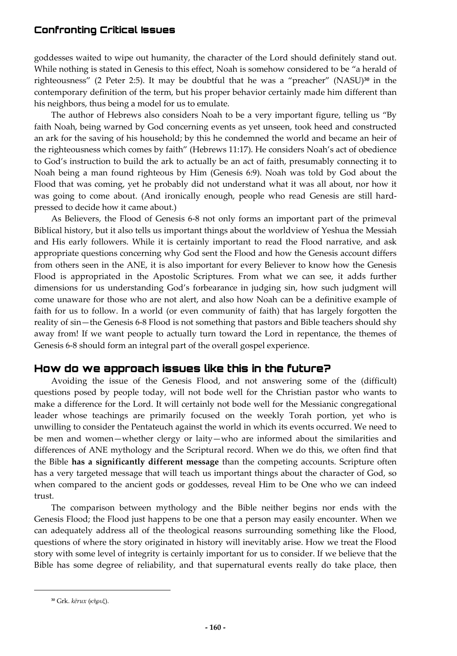goddesses waited to wipe out humanity, the character of the Lord should definitely stand out. While nothing is stated in Genesis to this effect, Noah is somehow considered to be "a herald of righteousness" (2 Peter 2:5). It may be doubtful that he was a "preacher" (NASU)**<sup>30</sup>** in the contemporary definition of the term, but his proper behavior certainly made him different than his neighbors, thus being a model for us to emulate.

The author of Hebrews also considers Noah to be a very important figure, telling us "By faith Noah, being warned by God concerning events as yet unseen, took heed and constructed an ark for the saving of his household; by this he condemned the world and became an heir of the righteousness which comes by faith" (Hebrews 11:17). He considers Noah's act of obedience to God's instruction to build the ark to actually be an act of faith, presumably connecting it to Noah being a man found righteous by Him (Genesis 6:9). Noah was told by God about the Flood that was coming, yet he probably did not understand what it was all about, nor how it was going to come about. (And ironically enough, people who read Genesis are still hardpressed to decide how it came about.)

As Believers, the Flood of Genesis 6-8 not only forms an important part of the primeval Biblical history, but it also tells us important things about the worldview of Yeshua the Messiah and His early followers. While it is certainly important to read the Flood narrative, and ask appropriate questions concerning why God sent the Flood and how the Genesis account differs from others seen in the ANE, it is also important for every Believer to know how the Genesis Flood is appropriated in the Apostolic Scriptures. From what we can see, it adds further dimensions for us understanding God's forbearance in judging sin, how such judgment will come unaware for those who are not alert, and also how Noah can be a definitive example of faith for us to follow. In a world (or even community of faith) that has largely forgotten the reality of sin—the Genesis 6-8 Flood is not something that pastors and Bible teachers should shy away from! If we want people to actually turn toward the Lord in repentance, the themes of Genesis 6-8 should form an integral part of the overall gospel experience.

## **How do we approach issues like this in the future?**

Avoiding the issue of the Genesis Flood, and not answering some of the (difficult) questions posed by people today, will not bode well for the Christian pastor who wants to make a difference for the Lord. It will certainly not bode well for the Messianic congregational leader whose teachings are primarily focused on the weekly Torah portion, yet who is unwilling to consider the Pentateuch against the world in which its events occurred. We need to be men and women—whether clergy or laity—who are informed about the similarities and differences of ANE mythology and the Scriptural record. When we do this, we often find that the Bible **has a significantly different message** than the competing accounts. Scripture often has a very targeted message that will teach us important things about the character of God, so when compared to the ancient gods or goddesses, reveal Him to be One who we can indeed trust.

The comparison between mythology and the Bible neither begins nor ends with the Genesis Flood; the Flood just happens to be one that a person may easily encounter. When we can adequately address all of the theological reasons surrounding something like the Flood, questions of where the story originated in history will inevitably arise. How we treat the Flood story with some level of integrity is certainly important for us to consider. If we believe that the Bible has some degree of reliability, and that supernatural events really do take place, then

<sup>&</sup>lt;sup>30</sup> Grk. kērux (κήρυξ).